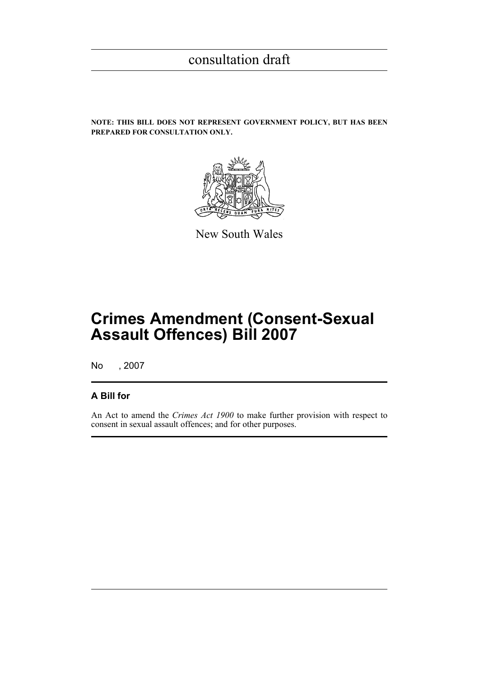**NOTE: THIS BILL DOES NOT REPRESENT GOVERNMENT POLICY, BUT HAS BEEN PREPARED FOR CONSULTATION ONLY.**



New South Wales

# **Crimes Amendment (Consent-Sexual Assault Offences) Bill 2007**

No , 2007

# **A Bill for**

An Act to amend the *Crimes Act 1900* to make further provision with respect to consent in sexual assault offences; and for other purposes.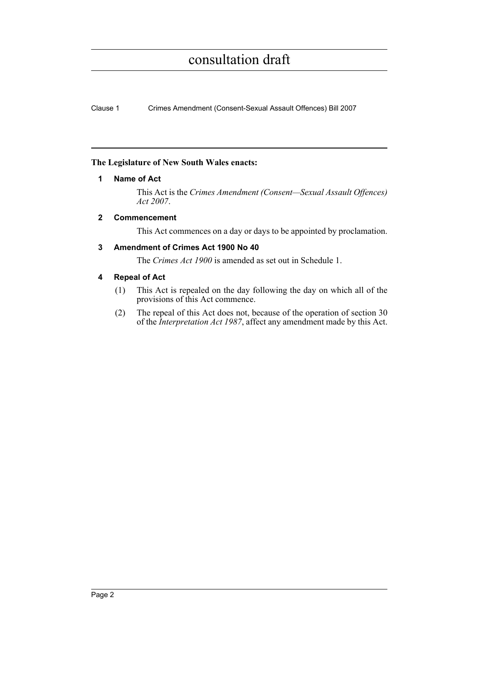Clause 1 Crimes Amendment (Consent-Sexual Assault Offences) Bill 2007

### **The Legislature of New South Wales enacts:**

### **1 Name of Act**

This Act is the *Crimes Amendment (Consent—Sexual Assault Offences) Act 2007*.

# **2 Commencement**

This Act commences on a day or days to be appointed by proclamation.

# **3 Amendment of Crimes Act 1900 No 40**

The *Crimes Act 1900* is amended as set out in Schedule 1.

# **4 Repeal of Act**

- (1) This Act is repealed on the day following the day on which all of the provisions of this Act commence.
- (2) The repeal of this Act does not, because of the operation of section 30 of the *Interpretation Act 1987*, affect any amendment made by this Act.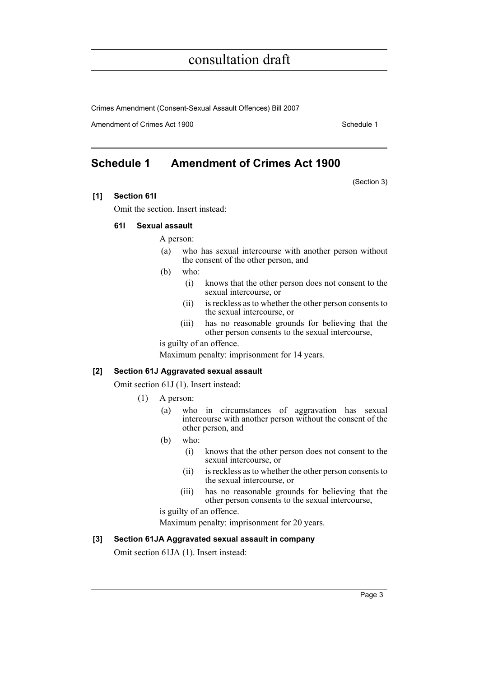Crimes Amendment (Consent-Sexual Assault Offences) Bill 2007

Amendment of Crimes Act 1900 Schedule 1

(Section 3)

# **Schedule 1 Amendment of Crimes Act 1900**

### **[1] Section 61I**

Omit the section. Insert instead:

### **61I Sexual assault**

A person:

- (a) who has sexual intercourse with another person without the consent of the other person, and
- (b) who:
	- (i) knows that the other person does not consent to the sexual intercourse, or
	- (ii) is reckless as to whether the other person consents to the sexual intercourse, or
	- (iii) has no reasonable grounds for believing that the other person consents to the sexual intercourse,

is guilty of an offence.

Maximum penalty: imprisonment for 14 years.

#### **[2] Section 61J Aggravated sexual assault**

Omit section 61J (1). Insert instead:

- (1) A person:
	- (a) who in circumstances of aggravation has sexual intercourse with another person without the consent of the other person, and
	- (b) who:
		- (i) knows that the other person does not consent to the sexual intercourse, or
		- (ii) is reckless as to whether the other person consents to the sexual intercourse, or
		- (iii) has no reasonable grounds for believing that the other person consents to the sexual intercourse,

is guilty of an offence.

Maximum penalty: imprisonment for 20 years.

#### **[3] Section 61JA Aggravated sexual assault in company**

Omit section 61JA (1). Insert instead: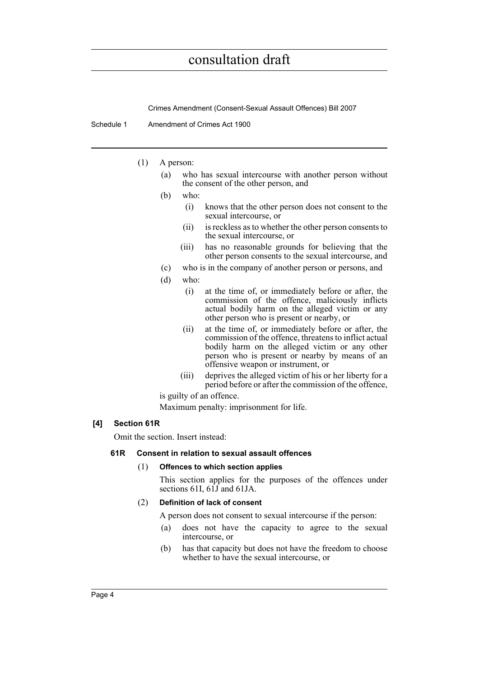Crimes Amendment (Consent-Sexual Assault Offences) Bill 2007

- Schedule 1 Amendment of Crimes Act 1900
	- (1) A person:
		- (a) who has sexual intercourse with another person without the consent of the other person, and
		- (b) who:
			- (i) knows that the other person does not consent to the sexual intercourse, or
			- (ii) is reckless as to whether the other person consents to the sexual intercourse, or
			- (iii) has no reasonable grounds for believing that the other person consents to the sexual intercourse, and
		- (c) who is in the company of another person or persons, and
		- (d) who:
			- (i) at the time of, or immediately before or after, the commission of the offence, maliciously inflicts actual bodily harm on the alleged victim or any other person who is present or nearby, or
			- (ii) at the time of, or immediately before or after, the commission of the offence, threatens to inflict actual bodily harm on the alleged victim or any other person who is present or nearby by means of an offensive weapon or instrument, or
			- (iii) deprives the alleged victim of his or her liberty for a period before or after the commission of the offence,

is guilty of an offence.

Maximum penalty: imprisonment for life.

# **[4] Section 61R**

Omit the section. Insert instead:

#### **61R Consent in relation to sexual assault offences**

#### (1) **Offences to which section applies**

This section applies for the purposes of the offences under sections 61I,  $61\overline{J}$  and 61JA.

#### (2) **Definition of lack of consent**

A person does not consent to sexual intercourse if the person:

- (a) does not have the capacity to agree to the sexual intercourse, or
- (b) has that capacity but does not have the freedom to choose whether to have the sexual intercourse, or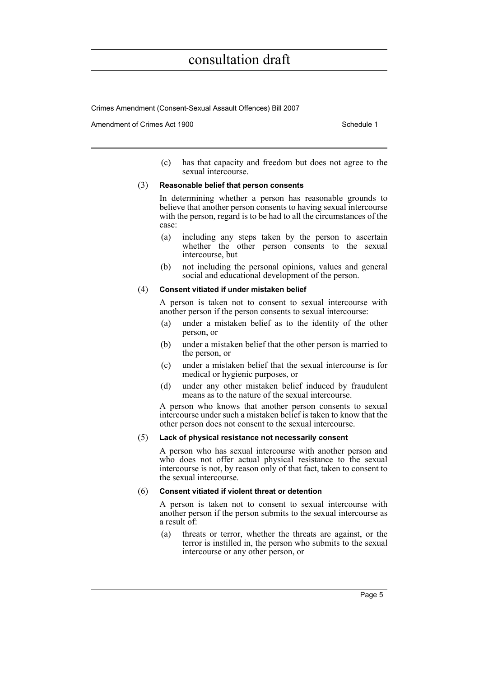Crimes Amendment (Consent-Sexual Assault Offences) Bill 2007

Amendment of Crimes Act 1900 New York 1900 New York 1900 New York 1900 Schedule 1

(c) has that capacity and freedom but does not agree to the sexual intercourse.

#### (3) **Reasonable belief that person consents**

In determining whether a person has reasonable grounds to believe that another person consents to having sexual intercourse with the person, regard is to be had to all the circumstances of the case:

- (a) including any steps taken by the person to ascertain whether the other person consents to the sexual intercourse, but
- (b) not including the personal opinions, values and general social and educational development of the person.

#### (4) **Consent vitiated if under mistaken belief**

A person is taken not to consent to sexual intercourse with another person if the person consents to sexual intercourse:

- (a) under a mistaken belief as to the identity of the other person, or
- (b) under a mistaken belief that the other person is married to the person, or
- (c) under a mistaken belief that the sexual intercourse is for medical or hygienic purposes, or
- (d) under any other mistaken belief induced by fraudulent means as to the nature of the sexual intercourse.

A person who knows that another person consents to sexual intercourse under such a mistaken belief is taken to know that the other person does not consent to the sexual intercourse.

#### (5) **Lack of physical resistance not necessarily consent**

A person who has sexual intercourse with another person and who does not offer actual physical resistance to the sexual intercourse is not, by reason only of that fact, taken to consent to the sexual intercourse.

#### (6) **Consent vitiated if violent threat or detention**

A person is taken not to consent to sexual intercourse with another person if the person submits to the sexual intercourse as a result of:

(a) threats or terror, whether the threats are against, or the terror is instilled in, the person who submits to the sexual intercourse or any other person, or